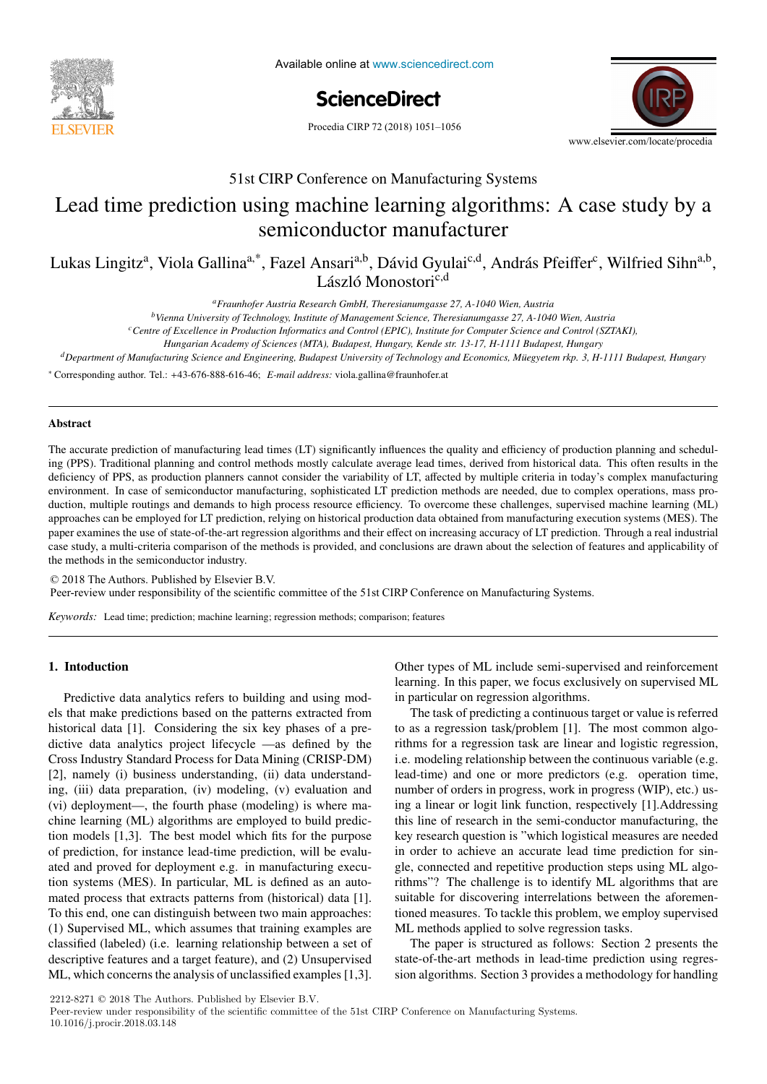

Available online at www.sciencedirect.com

**ScienceDirect** ScienceDirect



# 51st CIRP Conference on Manufacturing Systems 51st CIRP Conference on Manufacturing Systems

# $\frac{1}{2}$ Lead time prediction using machine learning algorithms: A case study by a Lead time prediction using machine learning algorithms: A case study by a semiconductor manufacturer semiconductor manufacturer

Lukas Lingitz<sup>a</sup>, Viola Gallina<sup>a,\*</sup>, Fazel Ansari<sup>a,b</sup>, Dávid Gyulai<sup>c,d</sup>, András Pfeiffer<sup>c</sup>, Wilfried Sihn<sup>a,b</sup>, László Monostori<sup>c,d</sup>

*aFraunhofer Austria Research GmbH, Theresianumgasse 27, A-1040 Wien, Austria aFraunhofer Austria Research GmbH, Theresianumgasse 27, A-1040 Wien, Austria*

<sup>b</sup>Vienna University of Technology, Institute of Management Science, Theresianumgasse 27, A-1040 Wien, Austria

<sup>c</sup>Centre of Excellence in Production Informatics and Control (EPIC), Institute for Computer Science and Control (SZTAKI),

Hungarian Academy of Sciences (MTA), Budapest, Hungary, Kende str. 13-17, H-1111 Budapest, Hungary

<sup>d</sup>Department of Manufacturing Science and Engineering, Budapest University of Technology and Economics, Müegyetem rkp. 3, H-1111 Budapest, Hungary

\* Corresponding author. Tel.: +43-676-888-616-46; E-mail address: viola.gallina@fraunhofer.at

# Abstract Abstract

ing (PPS). Traditional planning and control methods mostly calculate average lead times, derived from historical data. This often results in the deficiency of PPS, as production planners cannot consider the variability of LT, affected by multiple criteria in today's complex manufacturing environment. In case of semiconductor manufacturing, sophisticated LT prediction methods are needed, due to complex operations, mass production, multiple routings and demands to high process resource efficiency. To overcome these challenges, supervised machine learning (ML) approaches can be employed for LT prediction, relying on historical production data obtained from manufacturing execution systems (MES). The paper examines the use of state-of-the-art regression algorithms and their effect on increasing accuracy of LT prediction. Through a real industrial case study, a multi-criteria comparison of the methods is provided, and conclusions are drawn about the selection of features and applicability of the methods in the semiconductor industry. The accurate prediction of manufacturing lead times (LT) significantly influences the quality and efficiency of production planning and schedul-

 $\odot$  2018 The Authors. Published by Elsevier B.V. Peer-review under responsibility of the scientific committee of the 51st CIRP Conference on Manufacturing Systems. example of a nail-clipper is used to explain the proposed methodology. An industrial case study on two product families of steering columns of

Keywords: Lead time; prediction; machine learning; regression methods; comparison; features

#### *Keywords:* Assembly; Design method; Family identification 1. Intoduction 1. Intoduction

© 2017 The Authors. Published by Elsevier B.V.

historical data [1]. Considering the six key phases of a pre-Cross Industry Standard Process for Data Mining (CRISP-DM) [2], namely (i) business understanding, (ii) data understanding, (iii) data preparation, (iv) modeling, (v) evaluation and ing, (iii) data preparation, (iv) modeling, (v) evaluation and  $\frac{m}{g}$ ,  $\frac{m}{h}$  and  $\frac{m}{h}$  propositions:  $\frac{m}{h}$  and  $\frac{m}{h}$  and  $\frac{m}{h}$  and  $\frac{m}{h}$  and  $\frac{m}{h}$  and  $\frac{m}{h}$  and  $\frac{m}{h}$  and  $\frac{m}{h}$  and  $\frac{m}{h}$  and  $\frac{m}{h}$  and  $\frac{m}{h}$  and  $\frac{m}{h}$  and  $\frac{$ chine learning (ML) algorithms are employed to build prediction models  $\begin{bmatrix} 1,3 \end{bmatrix}$ . The best model which fits for the purpose of prediction, for instance lead-time prediction, will be evaluated and proved for deployment e.g. in manufacturing execution systems (MES). In particular, ML is defined as an automated process that extracts patterns from (historical) data [1]. To this end, one can distinguish between two main approaches: To cope with this augmenting variety as well as to be able to (1) Supervised ML, which assumes that training examples are (1) Supervised ML, which assumes that training examples are identify possible optimization potentials in the existing classified (labeled) (i.e. learning relationship between a set of classified (labeled) (i.e. learning relationship between a set of descriptive features and a target feature), and (2) Unsupervised Predictive data analytics refers to building and using mod-Predictive data analytics refers to building and using models that make predictions based on the patterns extracted from els that make predictions based on the patterns extracted from dictive data analytics project lifecycle —as defined by the dictive data analytics project lifecycle —as defined by the ML, which concerns the analysis of unclassified examples [1,3]. ML, which concerns the analysis of unclassified examples [1,3].

Other types of ML include semi-supervised and reinforcement Other types of ML include semi-supervised and reinforcement learning. In this paper, we focus exclusively on supervised ML learning. In this paper, we focus exclusively on supervised ML in particular on regression algorithms. in particular on regression algorithms.

to as a regression task/problem [1]. The most common algorithms for a regression task are linear and logistic regression, i.e. modeling relationship between the continuous variable (e.g. lead-time) and one or more predictors (e.g. operation time, number of orders in progress, work in progress (WIP), etc.) using a linear or logit link function, respectively [1].Addressing this line of research in the semi-conductor manufacturing, the key research question is "which logistical measures are needed in order to achieve an accurate lead time prediction for single, connected and repetitive production steps using ML algorithms"? The challenge is to identify ML algorithms that are suitable for discovering interrelations between the aforementioned measures. To tackle this problem, we employ supervised ML methods applied to solve regression tasks. The task of predicting a continuous target or value is referred The task of predicting a continuous target or value is referred

The paper is structured as follows: Section 2 presents the state-of-the-art methods in lead-time prediction using regression algorithms. Section 3 provides a methodology for handling sion algorithms. Section 3 provides a methodology for handling

2212-8271  $\odot$  2018 The Authors. Published by Elsevier B.V.

Peer-review under responsibility of the scientific committee of the 51st CIRP Conference on Manufacturing Systems. 10.1016/j.procir.2018.03.148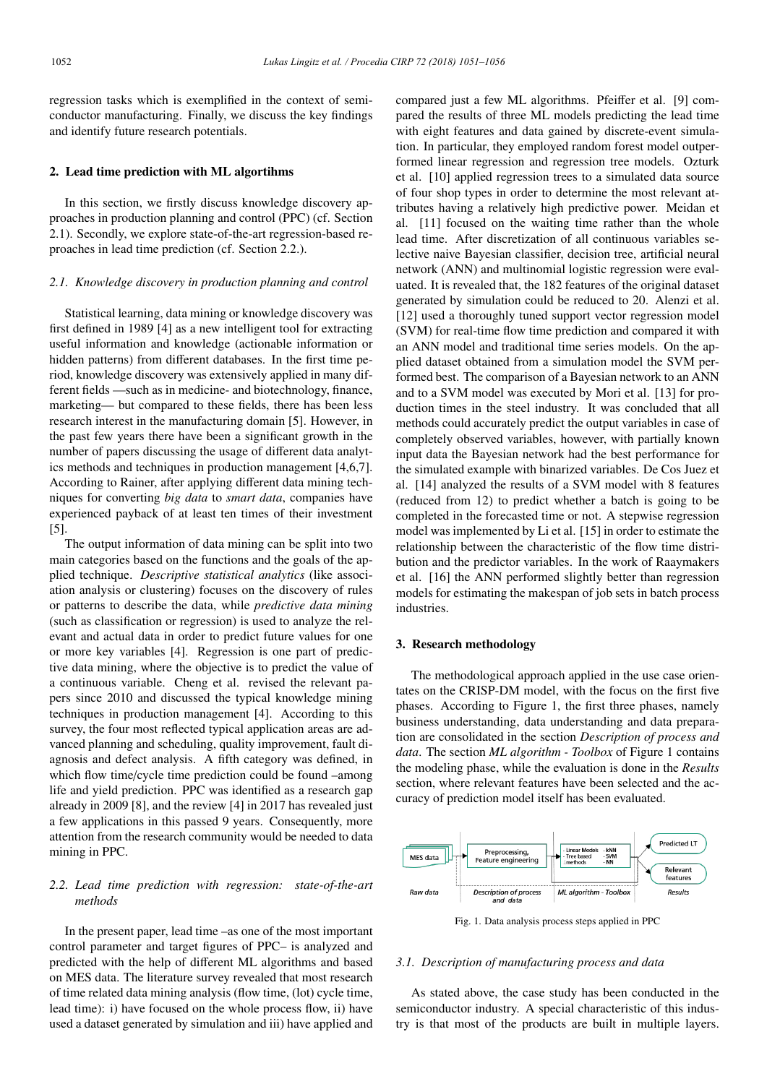regression tasks which is exemplified in the context of semiconductor manufacturing. Finally, we discuss the key findings and identify future research potentials.

#### 2. Lead time prediction with ML algortihms

In this section, we firstly discuss knowledge discovery approaches in production planning and control (PPC) (cf. Section 2.1). Secondly, we explore state-of-the-art regression-based reproaches in lead time prediction (cf. Section 2.2.).

#### *2.1. Knowledge discovery in production planning and control*

Statistical learning, data mining or knowledge discovery was first defined in 1989 [4] as a new intelligent tool for extracting useful information and knowledge (actionable information or hidden patterns) from different databases. In the first time period, knowledge discovery was extensively applied in many different fields —such as in medicine- and biotechnology, finance, marketing— but compared to these fields, there has been less research interest in the manufacturing domain [5]. However, in the past few years there have been a significant growth in the number of papers discussing the usage of different data analytics methods and techniques in production management [4,6,7]. According to Rainer, after applying different data mining techniques for converting *big data* to *smart data*, companies have experienced payback of at least ten times of their investment [5].

The output information of data mining can be split into two main categories based on the functions and the goals of the applied technique. *Descriptive statistical analytics* (like association analysis or clustering) focuses on the discovery of rules or patterns to describe the data, while *predictive data mining* (such as classification or regression) is used to analyze the relevant and actual data in order to predict future values for one or more key variables [4]. Regression is one part of predictive data mining, where the objective is to predict the value of a continuous variable. Cheng et al. revised the relevant papers since 2010 and discussed the typical knowledge mining techniques in production management [4]. According to this survey, the four most reflected typical application areas are advanced planning and scheduling, quality improvement, fault diagnosis and defect analysis. A fifth category was defined, in which flow time/cycle time prediction could be found –among life and yield prediction. PPC was identified as a research gap already in 2009 [8], and the review [4] in 2017 has revealed just a few applications in this passed 9 years. Consequently, more attention from the research community would be needed to data mining in PPC.

# *2.2. Lead time prediction with regression: state-of-the-art methods*

In the present paper, lead time –as one of the most important control parameter and target figures of PPC– is analyzed and predicted with the help of different ML algorithms and based on MES data. The literature survey revealed that most research of time related data mining analysis (flow time, (lot) cycle time, lead time): i) have focused on the whole process flow, ii) have used a dataset generated by simulation and iii) have applied and

compared just a few ML algorithms. Pfeiffer et al. [9] compared the results of three ML models predicting the lead time with eight features and data gained by discrete-event simulation. In particular, they employed random forest model outperformed linear regression and regression tree models. Ozturk et al. [10] applied regression trees to a simulated data source of four shop types in order to determine the most relevant attributes having a relatively high predictive power. Meidan et al. [11] focused on the waiting time rather than the whole lead time. After discretization of all continuous variables selective naive Bayesian classifier, decision tree, artificial neural network (ANN) and multinomial logistic regression were evaluated. It is revealed that, the 182 features of the original dataset generated by simulation could be reduced to 20. Alenzi et al. [12] used a thoroughly tuned support vector regression model (SVM) for real-time flow time prediction and compared it with an ANN model and traditional time series models. On the applied dataset obtained from a simulation model the SVM performed best. The comparison of a Bayesian network to an ANN and to a SVM model was executed by Mori et al. [13] for production times in the steel industry. It was concluded that all methods could accurately predict the output variables in case of completely observed variables, however, with partially known input data the Bayesian network had the best performance for the simulated example with binarized variables. De Cos Juez et al. [14] analyzed the results of a SVM model with 8 features (reduced from 12) to predict whether a batch is going to be completed in the forecasted time or not. A stepwise regression model was implemented by Li et al. [15] in order to estimate the relationship between the characteristic of the flow time distribution and the predictor variables. In the work of Raaymakers et al. [16] the ANN performed slightly better than regression models for estimating the makespan of job sets in batch process industries.

#### 3. Research methodology

The methodological approach applied in the use case orientates on the CRISP-DM model, with the focus on the first five phases. According to Figure 1, the first three phases, namely business understanding, data understanding and data preparation are consolidated in the section *Description of process and data*. The section *ML algorithm - Toolbox* of Figure 1 contains the modeling phase, while the evaluation is done in the *Results* section, where relevant features have been selected and the accuracy of prediction model itself has been evaluated.



Fig. 1. Data analysis process steps applied in PPC

## *3.1. Description of manufacturing process and data*

As stated above, the case study has been conducted in the semiconductor industry. A special characteristic of this industry is that most of the products are built in multiple layers.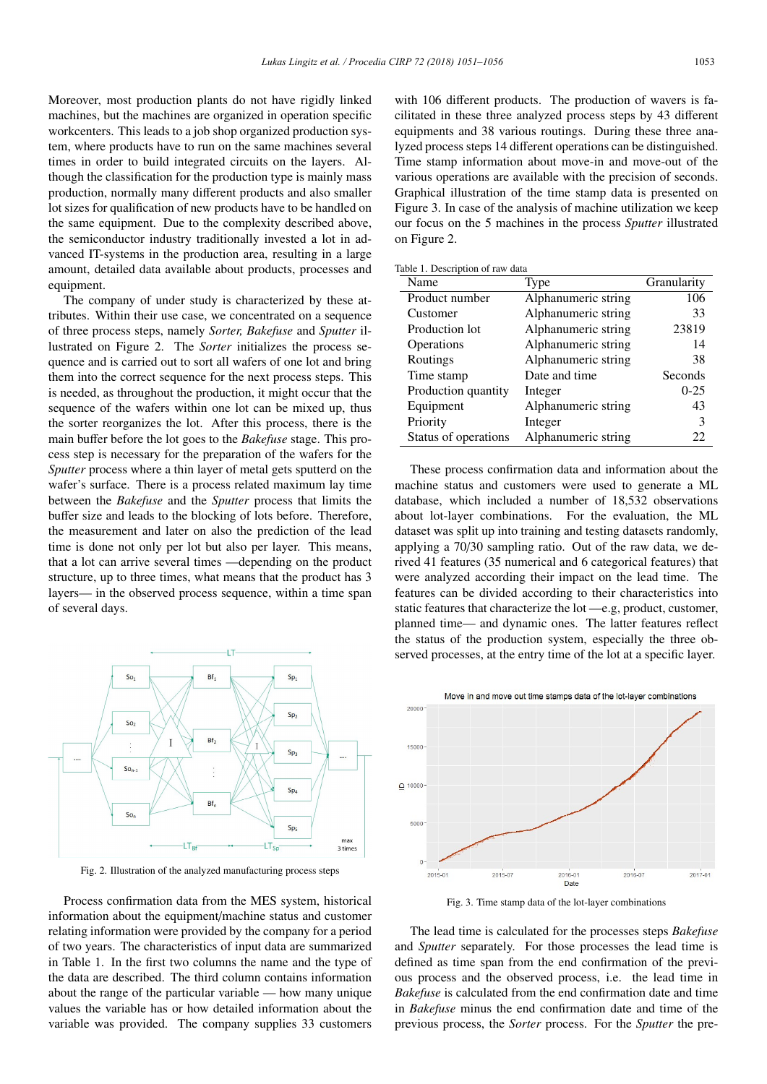Moreover, most production plants do not have rigidly linked machines, but the machines are organized in operation specific workcenters. This leads to a job shop organized production system, where products have to run on the same machines several times in order to build integrated circuits on the layers. Although the classification for the production type is mainly mass production, normally many different products and also smaller lot sizes for qualification of new products have to be handled on the same equipment. Due to the complexity described above, the semiconductor industry traditionally invested a lot in advanced IT-systems in the production area, resulting in a large amount, detailed data available about products, processes and equipment.

The company of under study is characterized by these attributes. Within their use case, we concentrated on a sequence of three process steps, namely *Sorter, Bakefuse* and *Sputter* illustrated on Figure 2. The *Sorter* initializes the process sequence and is carried out to sort all wafers of one lot and bring them into the correct sequence for the next process steps. This is needed, as throughout the production, it might occur that the sequence of the wafers within one lot can be mixed up, thus the sorter reorganizes the lot. After this process, there is the main buffer before the lot goes to the *Bakefuse* stage. This process step is necessary for the preparation of the wafers for the *Sputter* process where a thin layer of metal gets sputterd on the wafer's surface. There is a process related maximum lay time between the *Bakefuse* and the *Sputter* process that limits the buffer size and leads to the blocking of lots before. Therefore, the measurement and later on also the prediction of the lead time is done not only per lot but also per layer. This means, that a lot can arrive several times —depending on the product structure, up to three times, what means that the product has 3 layers— in the observed process sequence, within a time span of several days.



Fig. 2. Illustration of the analyzed manufacturing process steps

Process confirmation data from the MES system, historical information about the equipment/machine status and customer relating information were provided by the company for a period of two years. The characteristics of input data are summarized in Table 1. In the first two columns the name and the type of the data are described. The third column contains information about the range of the particular variable — how many unique values the variable has or how detailed information about the variable was provided. The company supplies 33 customers

with 106 different products. The production of wavers is facilitated in these three analyzed process steps by 43 different equipments and 38 various routings. During these three analyzed process steps 14 different operations can be distinguished. Time stamp information about move-in and move-out of the various operations are available with the precision of seconds. Graphical illustration of the time stamp data is presented on Figure 3. In case of the analysis of machine utilization we keep our focus on the 5 machines in the process *Sputter* illustrated on Figure 2.

Table 1. Description of raw data

| Name                 | Type                | Granularity |
|----------------------|---------------------|-------------|
| Product number       | Alphanumeric string | 106         |
| Customer             | Alphanumeric string | 33          |
| Production lot       | Alphanumeric string | 23819       |
| Operations           | Alphanumeric string | 14          |
| Routings             | Alphanumeric string | 38          |
| Time stamp           | Date and time       | Seconds     |
| Production quantity  | Integer             | $0 - 25$    |
| Equipment            | Alphanumeric string | 43          |
| Priority             | Integer             | 3           |
| Status of operations | Alphanumeric string | 22          |

These process confirmation data and information about the machine status and customers were used to generate a ML database, which included a number of 18,532 observations about lot-layer combinations. For the evaluation, the ML dataset was split up into training and testing datasets randomly, applying a 70/30 sampling ratio. Out of the raw data, we derived 41 features (35 numerical and 6 categorical features) that were analyzed according their impact on the lead time. The features can be divided according to their characteristics into static features that characterize the lot —e.g, product, customer, planned time— and dynamic ones. The latter features reflect the status of the production system, especially the three observed processes, at the entry time of the lot at a specific layer.



Fig. 3. Time stamp data of the lot-layer combinations

The lead time is calculated for the processes steps *Bakefuse* and *Sputter* separately. For those processes the lead time is defined as time span from the end confirmation of the previous process and the observed process, i.e. the lead time in *Bakefuse* is calculated from the end confirmation date and time in *Bakefuse* minus the end confirmation date and time of the previous process, the *Sorter* process. For the *Sputter* the pre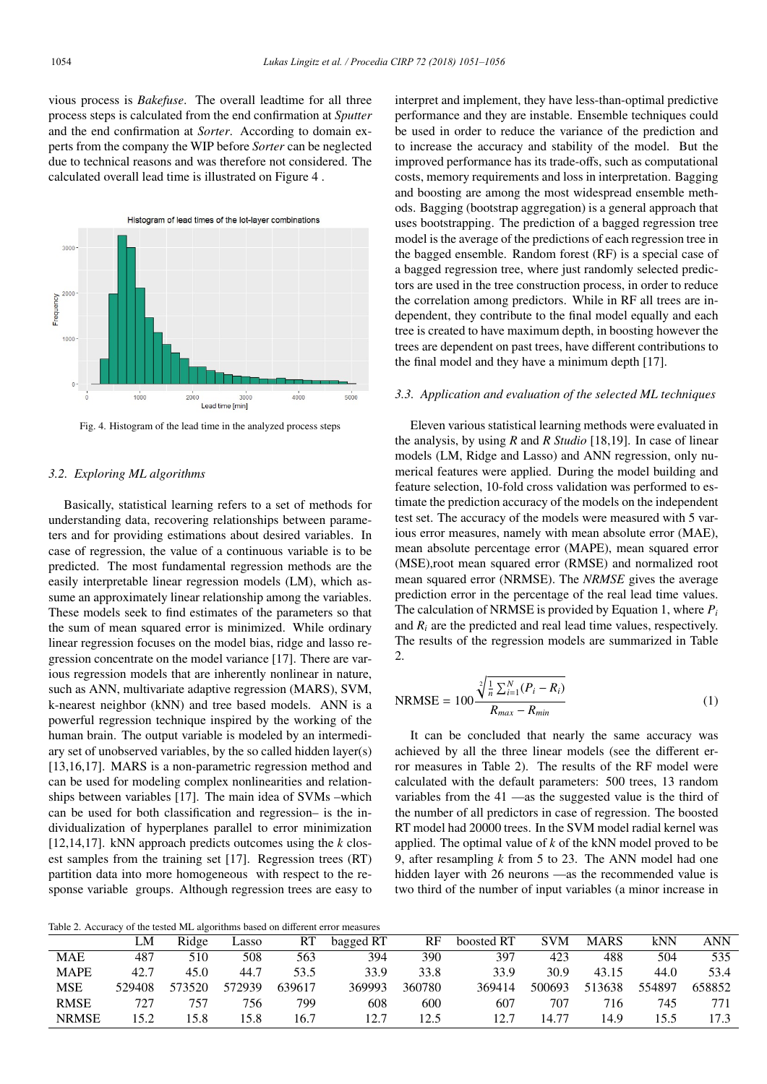vious process is *Bakefuse*. The overall leadtime for all three process steps is calculated from the end confirmation at *Sputter* and the end confirmation at *Sorter*. According to domain experts from the company the WIP before *Sorter* can be neglected due to technical reasons and was therefore not considered. The calculated overall lead time is illustrated on Figure 4 .



Fig. 4. Histogram of the lead time in the analyzed process steps

### *3.2. Exploring ML algorithms*

Basically, statistical learning refers to a set of methods for understanding data, recovering relationships between parameters and for providing estimations about desired variables. In case of regression, the value of a continuous variable is to be predicted. The most fundamental regression methods are the easily interpretable linear regression models (LM), which assume an approximately linear relationship among the variables. These models seek to find estimates of the parameters so that the sum of mean squared error is minimized. While ordinary linear regression focuses on the model bias, ridge and lasso regression concentrate on the model variance [17]. There are various regression models that are inherently nonlinear in nature, such as ANN, multivariate adaptive regression (MARS), SVM, k-nearest neighbor (kNN) and tree based models. ANN is a powerful regression technique inspired by the working of the human brain. The output variable is modeled by an intermediary set of unobserved variables, by the so called hidden layer(s) [13,16,17]. MARS is a non-parametric regression method and can be used for modeling complex nonlinearities and relationships between variables [17]. The main idea of SVMs –which can be used for both classification and regression– is the individualization of hyperplanes parallel to error minimization [12,14,17]. kNN approach predicts outcomes using the *k* closest samples from the training set [17]. Regression trees (RT) partition data into more homogeneous with respect to the response variable groups. Although regression trees are easy to

interpret and implement, they have less-than-optimal predictive performance and they are instable. Ensemble techniques could be used in order to reduce the variance of the prediction and to increase the accuracy and stability of the model. But the improved performance has its trade-offs, such as computational costs, memory requirements and loss in interpretation. Bagging and boosting are among the most widespread ensemble methods. Bagging (bootstrap aggregation) is a general approach that uses bootstrapping. The prediction of a bagged regression tree model is the average of the predictions of each regression tree in the bagged ensemble. Random forest (RF) is a special case of a bagged regression tree, where just randomly selected predictors are used in the tree construction process, in order to reduce the correlation among predictors. While in RF all trees are independent, they contribute to the final model equally and each tree is created to have maximum depth, in boosting however the trees are dependent on past trees, have different contributions to the final model and they have a minimum depth [17].

#### *3.3. Application and evaluation of the selected ML techniques*

Eleven various statistical learning methods were evaluated in the analysis, by using *R* and *R Studio* [18,19]. In case of linear models (LM, Ridge and Lasso) and ANN regression, only numerical features were applied. During the model building and feature selection, 10-fold cross validation was performed to estimate the prediction accuracy of the models on the independent test set. The accuracy of the models were measured with 5 various error measures, namely with mean absolute error (MAE), mean absolute percentage error (MAPE), mean squared error (MSE),root mean squared error (RMSE) and normalized root mean squared error (NRMSE). The *NRMSE* gives the average prediction error in the percentage of the real lead time values. The calculation of NRMSE is provided by Equation 1, where *Pi* and *Ri* are the predicted and real lead time values, respectively. The results of the regression models are summarized in Table 2.

NRMSE = 
$$
100 \frac{\sqrt[2]{\frac{1}{n} \sum_{i=1}^{N} (P_i - R_i)}}{R_{max} - R_{min}}
$$
 (1)

It can be concluded that nearly the same accuracy was achieved by all the three linear models (see the different error measures in Table 2). The results of the RF model were calculated with the default parameters: 500 trees, 13 random variables from the 41 —as the suggested value is the third of the number of all predictors in case of regression. The boosted RT model had 20000 trees. In the SVM model radial kernel was applied. The optimal value of *k* of the kNN model proved to be 9, after resampling *k* from 5 to 23. The ANN model had one hidden layer with 26 neurons —as the recommended value is two third of the number of input variables (a minor increase in

Table 2. Accuracy of the tested ML algorithms based on different errors of the tested ML algorithms based on different errors of the  $\alpha$ 

|              | LM     | Ridge  | ∟asso  | RT     | bagged RT | RF     | boosted RT | <b>SVM</b> | <b>MARS</b> | <b>kNN</b> | ANN    |
|--------------|--------|--------|--------|--------|-----------|--------|------------|------------|-------------|------------|--------|
| <b>MAE</b>   | 487    | 510    | 508    | 563    | 394       | 390    | 397        | 423        | 488         | 504        | 535    |
| <b>MAPE</b>  | 42.7   | 45.0   | 44.7   | 53.5   | 33.9      | 33.8   | 33.9       | 30.9       | 43.15       | 44.0       | 53.4   |
| MSE          | 529408 | 573520 | 572939 | 639617 | 369993    | 360780 | 369414     | 500693     | 513638      | 554897     | 658852 |
| <b>RMSE</b>  | 727    | 757    | 756    | 799    | 608       | 600    | 607        | 707        | 716         | 745        |        |
| <b>NRMSE</b> | 152    | 5.8    | 15.8   | 16.7   | 12.7      | 2.5    | 12.7       | 14.77      | 14.9        | 155        | 17.3   |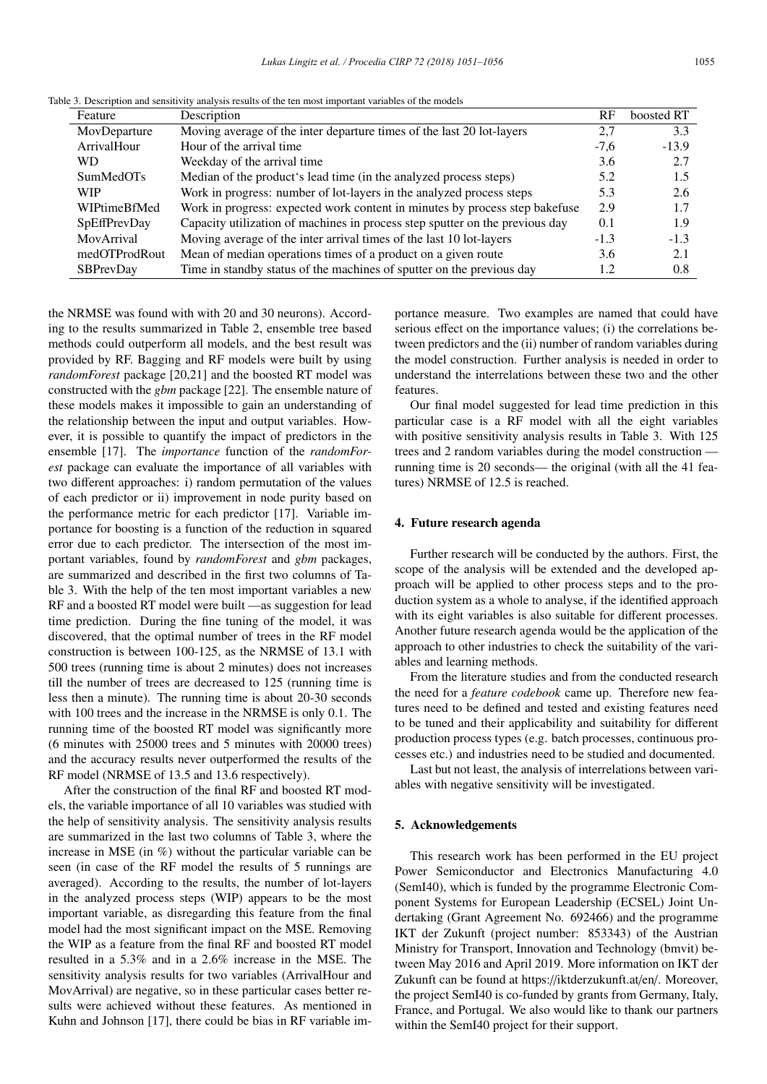|  |  | Table 3. Description and sensitivity analysis results of the ten most important variables of the models |  |
|--|--|---------------------------------------------------------------------------------------------------------|--|
|--|--|---------------------------------------------------------------------------------------------------------|--|

| Feature          | Description                                                                  | RF     | boosted RT |
|------------------|------------------------------------------------------------------------------|--------|------------|
| MovDeparture     | Moving average of the inter departure times of the last 20 lot-layers        | 2,7    | 3.3        |
| ArrivalHour      | Hour of the arrival time                                                     | $-7,6$ | $-13.9$    |
| <b>WD</b>        | Weekday of the arrival time.                                                 | 3.6    | 2.7        |
| <b>SumMedOTs</b> | Median of the product's lead time (in the analyzed process steps)            | 5.2    | 1.5        |
| <b>WIP</b>       | Work in progress: number of lot-layers in the analyzed process steps         | 5.3    | 2.6        |
| WIPtimeBfMed     | Work in progress: expected work content in minutes by process step bakefuse  | 2.9    | 1.7        |
| SpEffPrevDay     | Capacity utilization of machines in process step sputter on the previous day | 0.1    | 1.9        |
| MovArrival       | Moving average of the inter arrival times of the last 10 lot-layers          | $-1.3$ | $-1.3$     |
| medOTProdRout    | Mean of median operations times of a product on a given route                | 3.6    | 2.1        |
| <b>SBPrevDay</b> | Time in standby status of the machines of sputter on the previous day        | 1.2    | 0.8        |

ing to the results summarized in Table 2, ensemble tree based methods could outperform all models, and the best result was provided by RF. Bagging and RF models were built by using *randomForest* package [20,21] and the boosted RT model was constructed with the *gbm* package [22]. The ensemble nature of these models makes it impossible to gain an understanding of the relationship between the input and output variables. However, it is possible to quantify the impact of predictors in the ensemble [17]. The *importance* function of the *randomForest* package can evaluate the importance of all variables with two different approaches: i) random permutation of the values of each predictor or ii) improvement in node purity based on the performance metric for each predictor [17]. Variable importance for boosting is a function of the reduction in squared error due to each predictor. The intersection of the most important variables, found by *randomForest* and *gbm* packages, are summarized and described in the first two columns of Table 3. With the help of the ten most important variables a new RF and a boosted RT model were built —as suggestion for lead time prediction. During the fine tuning of the model, it was discovered, that the optimal number of trees in the RF model construction is between 100-125, as the NRMSE of 13.1 with 500 trees (running time is about 2 minutes) does not increases till the number of trees are decreased to 125 (running time is less then a minute). The running time is about 20-30 seconds with 100 trees and the increase in the NRMSE is only 0.1. The running time of the boosted RT model was significantly more (6 minutes with 25000 trees and 5 minutes with 20000 trees) and the accuracy results never outperformed the results of the RF model (NRMSE of 13.5 and 13.6 respectively).

the NRMSE was found with with 20 and 30 neurons). Accord-

After the construction of the final RF and boosted RT models, the variable importance of all 10 variables was studied with the help of sensitivity analysis. The sensitivity analysis results are summarized in the last two columns of Table 3, where the increase in MSE (in %) without the particular variable can be seen (in case of the RF model the results of 5 runnings are averaged). According to the results, the number of lot-layers in the analyzed process steps (WIP) appears to be the most important variable, as disregarding this feature from the final model had the most significant impact on the MSE. Removing the WIP as a feature from the final RF and boosted RT model resulted in a 5.3% and in a 2.6% increase in the MSE. The sensitivity analysis results for two variables (ArrivalHour and MovArrival) are negative, so in these particular cases better results were achieved without these features. As mentioned in Kuhn and Johnson [17], there could be bias in RF variable importance measure. Two examples are named that could have serious effect on the importance values; (i) the correlations between predictors and the (ii) number of random variables during the model construction. Further analysis is needed in order to understand the interrelations between these two and the other features.

Our final model suggested for lead time prediction in this particular case is a RF model with all the eight variables with positive sensitivity analysis results in Table 3. With 125 trees and 2 random variables during the model construction running time is 20 seconds— the original (with all the 41 features) NRMSE of 12.5 is reached.

#### 4. Future research agenda

Further research will be conducted by the authors. First, the scope of the analysis will be extended and the developed approach will be applied to other process steps and to the production system as a whole to analyse, if the identified approach with its eight variables is also suitable for different processes. Another future research agenda would be the application of the approach to other industries to check the suitability of the variables and learning methods.

From the literature studies and from the conducted research the need for a *feature codebook* came up. Therefore new features need to be defined and tested and existing features need to be tuned and their applicability and suitability for different production process types (e.g. batch processes, continuous processes etc.) and industries need to be studied and documented.

Last but not least, the analysis of interrelations between variables with negative sensitivity will be investigated.

## 5. Acknowledgements

This research work has been performed in the EU project Power Semiconductor and Electronics Manufacturing 4.0 (SemI40), which is funded by the programme Electronic Component Systems for European Leadership (ECSEL) Joint Undertaking (Grant Agreement No. 692466) and the programme IKT der Zukunft (project number: 853343) of the Austrian Ministry for Transport, Innovation and Technology (bmvit) between May 2016 and April 2019. More information on IKT der Zukunft can be found at https://iktderzukunft.at/en/. Moreover, the project SemI40 is co-funded by grants from Germany, Italy, France, and Portugal. We also would like to thank our partners within the SemI40 project for their support.